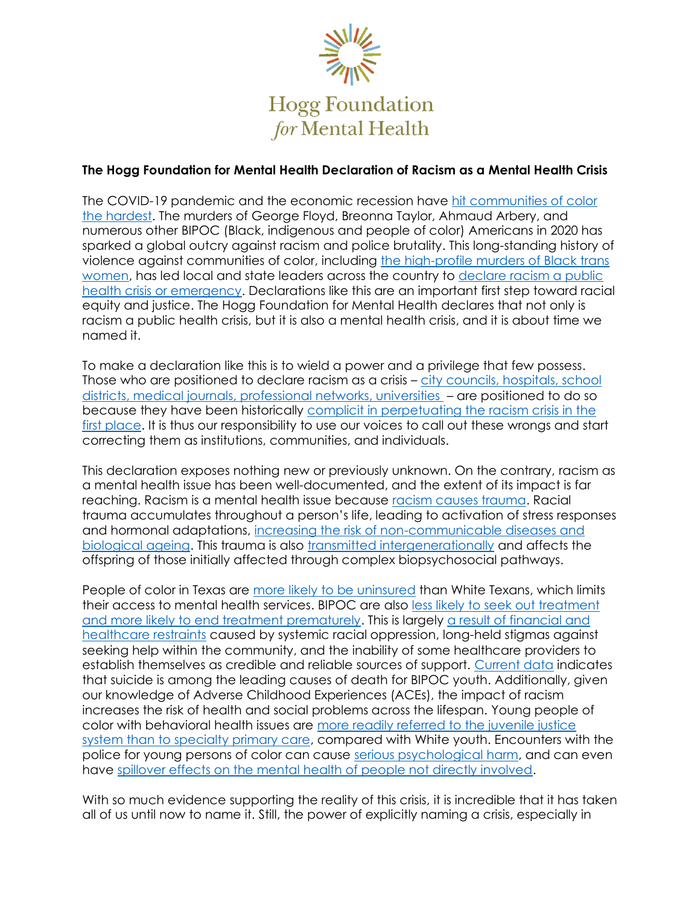

# **The Hogg Foundation for Mental Health Declaration of Racism as a Mental Health Crisis**

The COVID-19 pandemic and the economic recession have [hit communities of color](https://www.apmresearchlab.org/covid/deaths-by-race)  [the hardest.](https://www.apmresearchlab.org/covid/deaths-by-race) The murders of George Floyd, Breonna Taylor, Ahmaud Arbery, and numerous other BIPOC (Black, indigenous and people of color) Americans in 2020 has sparked a global outcry against racism and police brutality. This long-standing history of violence against communities of color, including [the high-profile murders](https://www.them.us/story/six-black-trans-women-were-found-dead-in-nine-days) of Black trans [women,](https://www.them.us/story/six-black-trans-women-were-found-dead-in-nine-days) has led local and state leaders across the country to declare [racism a public](https://www.apha.org/topics-and-issues/health-equity/racism-and-health/racism-declarations)  [health crisis or emergency.](https://www.apha.org/topics-and-issues/health-equity/racism-and-health/racism-declarations) Declarations like this are an important first step toward racial equity and justice. The Hogg Foundation for Mental Health declares that not only is racism a public health crisis, but it is also a mental health crisis, and it is about time we named it.

To make a declaration like this is to wield a power and a privilege that few possess. Those who are positioned to declare racism as a crisis – [city councils, hospitals, school](https://www.bloomberg.com/news/articles/2020-07-13/dozens-of-cities-dub-racism-a-public-health-crisis)  [districts, medical journals, professional networks,](https://www.bloomberg.com/news/articles/2020-07-13/dozens-of-cities-dub-racism-a-public-health-crisis) universities – are positioned to do so because they have been historically [complicit in perpetuating the racism crisis](https://hogg.utexas.edu/the-political-abuse-of-psychiatry-against-dissenting-voices) in the [first place.](https://hogg.utexas.edu/the-political-abuse-of-psychiatry-against-dissenting-voices) It is thus our responsibility to use our voices to call out these wrongs and start correcting them as institutions, communities, and individuals.

This declaration exposes nothing new or previously unknown. On the contrary, racism as a mental health issue has been well-documented, and the extent of its impact is far reaching. Racism is a mental health issue because [racism causes trauma.](https://mhanational.org/racism-and-mental-health) Racial trauma accumulates throughout a person's life, leading to activation of stress responses and hormonal adaptations, [increasing the risk of non-communicable diseases and](https://doi.org/10.1016/j.socscimed.2015.08.025)  [biological ageing.](https://doi.org/10.1016/j.socscimed.2015.08.025) This trauma is also [transmitted intergenerationally](https://doi.org/10.1146/annurev-publhealth-040119-094017) and affects the offspring of those initially affected through complex biopsychosocial pathways.

People of color in Texas are [more likely to be uninsured](https://www.urban.org/sites/default/files/publication/99498/uninsured_in_texas_2.pdf) than White Texans, which limits their access to mental health services. BIPOC are also [less likely to seek out treatment](https://minorityhealth.hhs.gov/omh/browse.aspx?lvl=4&lvlid=24)  [and more likely to end treatment prematurely.](https://minorityhealth.hhs.gov/omh/browse.aspx?lvl=4&lvlid=24) This is largely [a result of financial and](https://www.thenationalcouncil.org/BH365/2019/07/08/stigma-regarding-mental-illness-among-people-of-color/)  [healthcare restraints](https://www.thenationalcouncil.org/BH365/2019/07/08/stigma-regarding-mental-illness-among-people-of-color/) caused by systemic racial oppression, long-held stigmas against seeking help within the community, and the inability of some healthcare providers to establish themselves as credible and reliable sources of support. [Current data](https://minorityhealth.hhs.gov/omh/browse.aspx?lvl=4&lvlid=24) indicates that suicide is among the leading causes of death for BIPOC youth. Additionally, given our knowledge of Adverse Childhood Experiences (ACEs), the impact of racism increases the risk of health and social problems across the lifespan. Young people of color with behavioral health issues are [more readily referred to the juvenile justice](https://www.psychiatry.org/psychiatrists/cultural-competency/education/mental-health-facts)  [system than to specialty primary care,](https://www.psychiatry.org/psychiatrists/cultural-competency/education/mental-health-facts) compared with White youth. Encounters with the police for young persons of color can cause [serious psychological harm,](https://ajph.aphapublications.org/doi/10.2105/AJPH.2014.302046) and can even have [spillover effects on the mental health of people not directly involved.](https://www.thelancet.com/journals/lancet/article/PIIS0140-6736(18)31130-9/fulltext)

With so much evidence supporting the reality of this crisis, it is incredible that it has taken all of us until now to name it. Still, the power of explicitly naming a crisis, especially in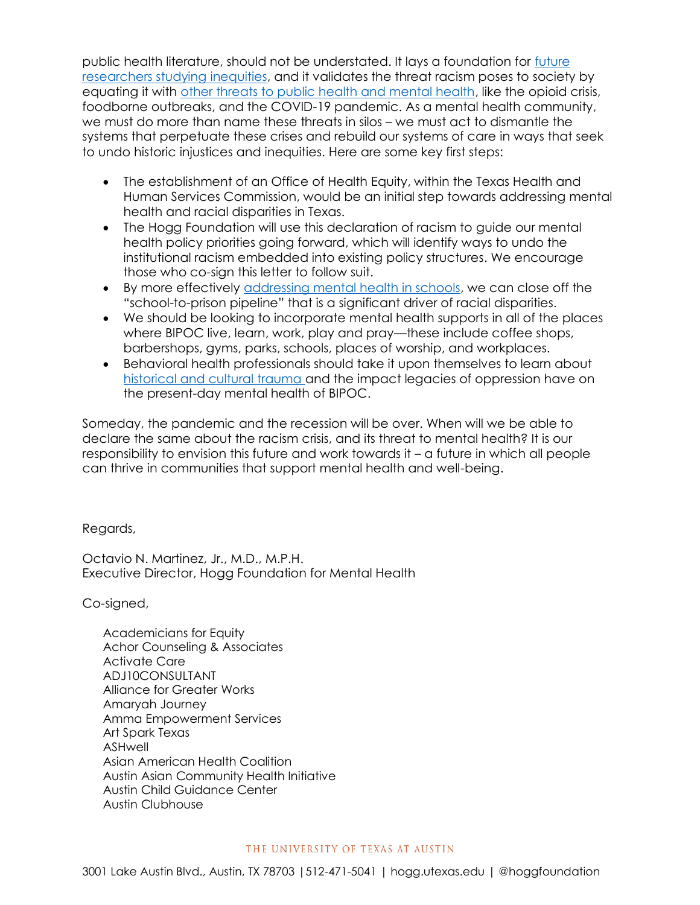public health literature, should not be understated. It lays a foundation for [future](https://pubmed.ncbi.nlm.nih.gov/29614234/)  [researchers studying](https://pubmed.ncbi.nlm.nih.gov/29614234/) inequities, and it validates the threat racism poses to society by equating it with [other threats to public health and mental health,](https://www.apha.org/topics-and-issues) like the opioid crisis, foodborne outbreaks, and the COVID-19 pandemic. As a mental health community, we must do more than name these threats in silos – we must act to dismantle the systems that perpetuate these crises and rebuild our systems of care in ways that seek to undo historic injustices and inequities. Here are some key first steps:

- The establishment of an Office of Health Equity, within the Texas Health and Human Services Commission, would be an initial step towards addressing mental health and racial disparities in Texas.
- The Hogg Foundation will use this declaration of racism to guide our mental health policy priorities going forward, which will identify ways to undo the institutional racism embedded into existing policy structures. We encourage those who co-sign this letter to follow suit.
- By more effectively [addressing mental health in schools,](https://hogg.utexas.edu/mental-health-in-schools) we can close off the "school-to-prison pipeline" that is a significant driver of racial disparities.
- We should be looking to incorporate mental health supports in all of the places where BIPOC live, learn, work, play and pray—these include coffee shops, barbershops, gyms, parks, schools, places of worship, and workplaces.
- Behavioral health professionals should take it upon themselves to learn about [historical and cultural trauma a](https://hogg.utexas.edu/historical-and-cultural-trauma)nd the impact legacies of oppression have on the present-day mental health of BIPOC.

Someday, the pandemic and the recession will be over. When will we be able to declare the same about the racism crisis, and its threat to mental health? It is our responsibility to envision this future and work towards it – a future in which all people can thrive in communities that support mental health and well-being.

Regards,

Octavio N. Martinez, Jr., M.D., M.P.H. Executive Director, Hogg Foundation for Mental Health

Co-signed,

Academicians for Equity Achor Counseling & Associates Activate Care ADJ10CONSULTANT Alliance for Greater Works Amaryah Journey Amma Empowerment Services Art Spark Texas ASHwell Asian American Health Coalition Austin Asian Community Health Initiative Austin Child Guidance Center Austin Clubhouse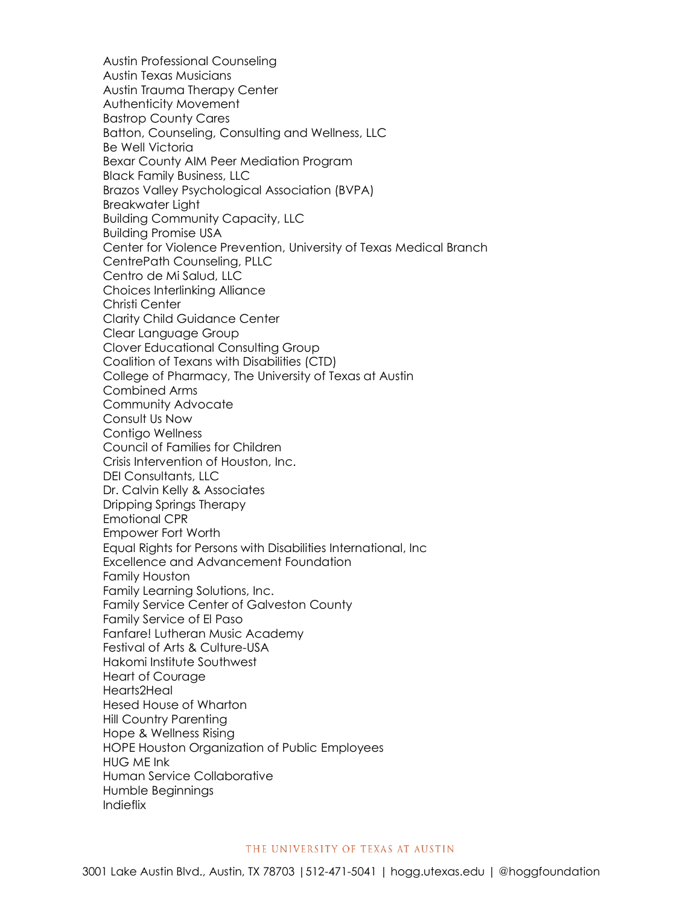Austin Professional Counseling Austin Texas Musicians Austin Trauma Therapy Center Authenticity Movement Bastrop County Cares Batton, Counseling, Consulting and Wellness, LLC Be Well Victoria Bexar County AIM Peer Mediation Program Black Family Business, LLC Brazos Valley Psychological Association (BVPA) Breakwater Light Building Community Capacity, LLC Building Promise USA Center for Violence Prevention, University of Texas Medical Branch CentrePath Counseling, PLLC Centro de Mi Salud, LLC Choices Interlinking Alliance Christi Center Clarity Child Guidance Center Clear Language Group Clover Educational Consulting Group Coalition of Texans with Disabilities (CTD) College of Pharmacy, The University of Texas at Austin Combined Arms Community Advocate Consult Us Now Contigo Wellness Council of Families for Children Crisis Intervention of Houston, Inc. DEI Consultants, LLC Dr. Calvin Kelly & Associates Dripping Springs Therapy Emotional CPR Empower Fort Worth Equal Rights for Persons with Disabilities International, Inc Excellence and Advancement Foundation Family Houston Family Learning Solutions, Inc. Family Service Center of Galveston County Family Service of El Paso Fanfare! Lutheran Music Academy Festival of Arts & Culture-USA Hakomi Institute Southwest Heart of Courage Hearts2Heal Hesed House of Wharton Hill Country Parenting Hope & Wellness Rising HOPE Houston Organization of Public Employees HUG ME Ink Human Service Collaborative Humble Beginnings Indieflix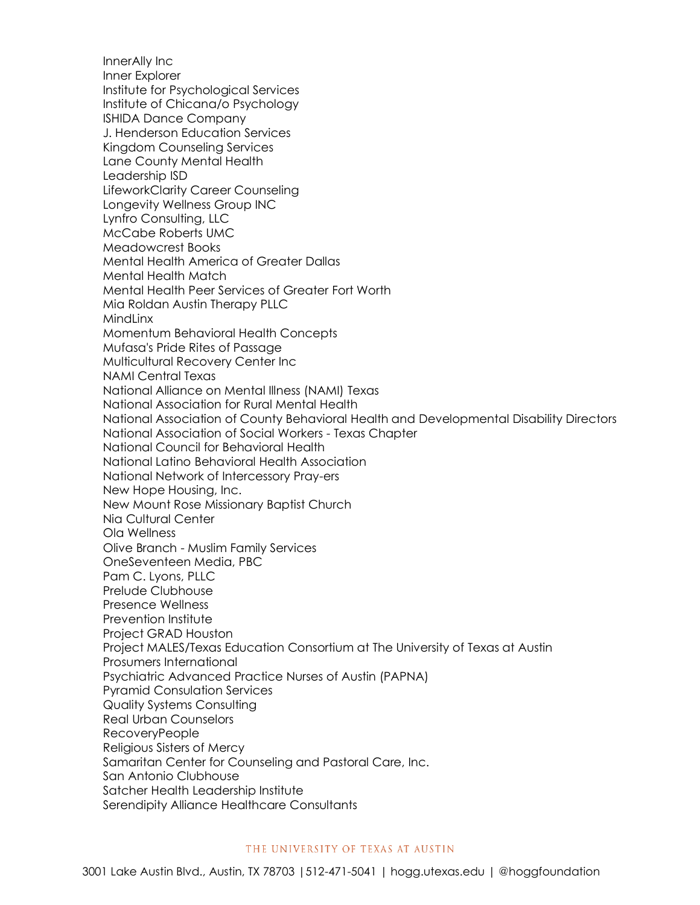InnerAlly Inc Inner Explorer Institute for Psychological Services Institute of Chicana/o Psychology ISHIDA Dance Company J. Henderson Education Services Kingdom Counseling Services Lane County Mental Health Leadership ISD LifeworkClarity Career Counseling Longevity Wellness Group INC Lynfro Consulting, LLC McCabe Roberts UMC Meadowcrest Books Mental Health America of Greater Dallas Mental Health Match Mental Health Peer Services of Greater Fort Worth Mia Roldan Austin Therapy PLLC **MindLinx** Momentum Behavioral Health Concepts Mufasa's Pride Rites of Passage Multicultural Recovery Center Inc NAMI Central Texas National Alliance on Mental Illness (NAMI) Texas National Association for Rural Mental Health National Association of County Behavioral Health and Developmental Disability Directors National Association of Social Workers - Texas Chapter National Council for Behavioral Health National Latino Behavioral Health Association National Network of Intercessory Pray-ers New Hope Housing, Inc. New Mount Rose Missionary Baptist Church Nia Cultural Center Ola Wellness Olive Branch - Muslim Family Services OneSeventeen Media, PBC Pam C. Lyons, PLLC Prelude Clubhouse Presence Wellness Prevention Institute Project GRAD Houston Project MALES/Texas Education Consortium at The University of Texas at Austin Prosumers International Psychiatric Advanced Practice Nurses of Austin (PAPNA) Pyramid Consulation Services Quality Systems Consulting Real Urban Counselors RecoveryPeople Religious Sisters of Mercy Samaritan Center for Counseling and Pastoral Care, Inc. San Antonio Clubhouse Satcher Health Leadership Institute Serendipity Alliance Healthcare Consultants